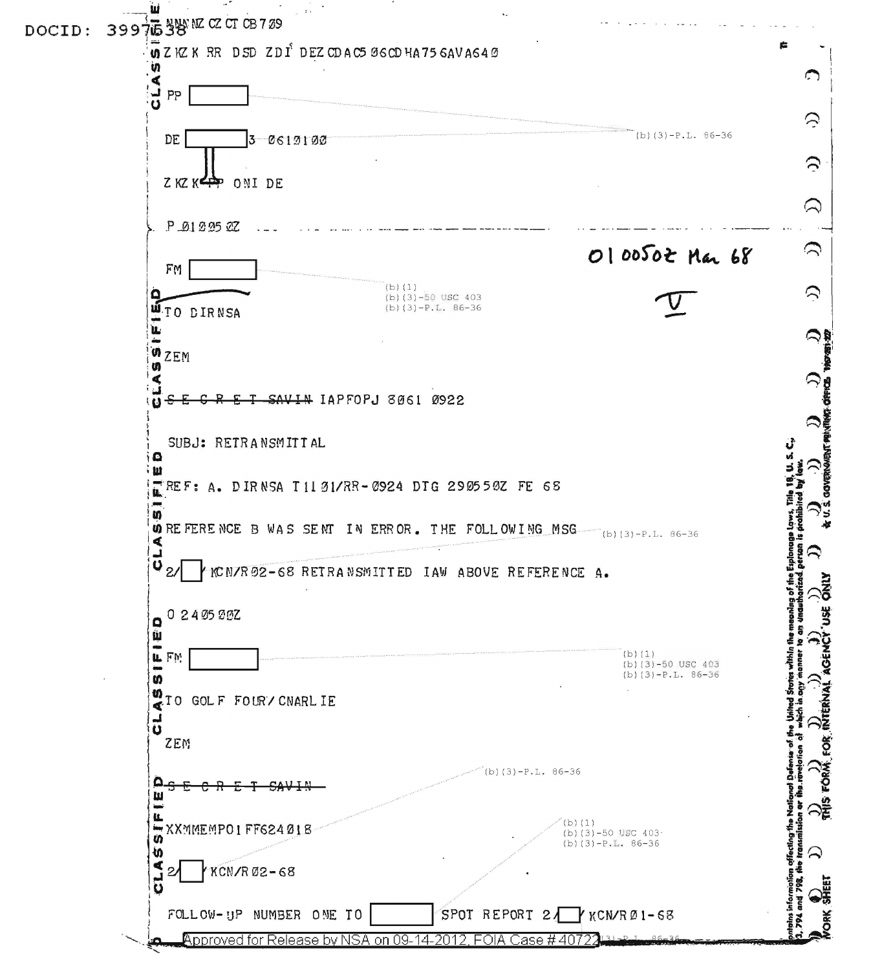